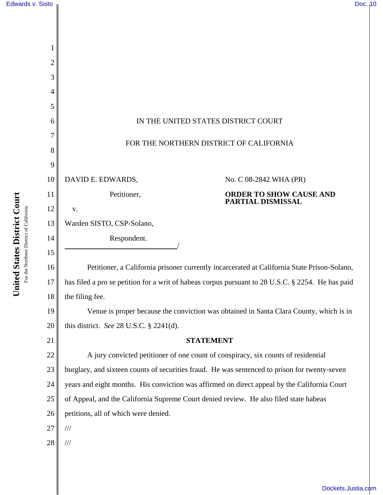| 2<br>3 |                                                                                                   |
|--------|---------------------------------------------------------------------------------------------------|
| 4      |                                                                                                   |
| 5      |                                                                                                   |
| 6      | IN THE UNITED STATES DISTRICT COURT                                                               |
|        |                                                                                                   |
| 8      | FOR THE NORTHERN DISTRICT OF CALIFORNIA                                                           |
| 9      |                                                                                                   |
| 10     | DAVID E. EDWARDS,<br>No. C 08-2842 WHA (PR)                                                       |
| 11     | <b>ORDER TO SHOW CAUSE AND</b><br>Petitioner,<br><b>PARTIAL DISMISSAL</b>                         |
| 12     | V.                                                                                                |
| 13     | Warden SISTO, CSP-Solano,                                                                         |
| 14     | Respondent.                                                                                       |
| 15     |                                                                                                   |
| 16     | Petitioner, a California prisoner currently incarcerated at California State Prison-Solano,       |
| 17     | has filed a pro se petition for a writ of habeas corpus pursuant to 28 U.S.C. § 2254. He has paid |
| 18     | the filing fee.                                                                                   |
| 19     | Venue is proper because the conviction was obtained in Santa Clara County, which is in            |
| 20     | this district. See 28 U.S.C. $\S$ 2241(d).                                                        |
| 21     | <b>STATEMENT</b>                                                                                  |
| 22     | A jury convicted petitioner of one count of conspiracy, six counts of residential                 |
| 23     | burglary, and sixteen counts of securities fraud. He was sentenced to prison for twenty-seven     |
| 24     | years and eight months. His conviction was affirmed on direct appeal by the California Court      |
| 25     | of Appeal, and the California Supreme Court denied review. He also filed state habeas             |
| 26     | petitions, all of which were denied.                                                              |
| 27     | $/\!/ \!/$                                                                                        |
| 28     | $/\!/ \!/$                                                                                        |
|        |                                                                                                   |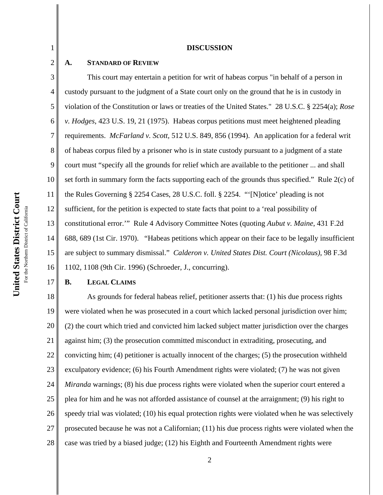#### **DISCUSSION**

### **A. STANDARD OF REVIEW**

1

2

3 4 5 6 7 8 9 10 11 12 13 14 15 16 This court may entertain a petition for writ of habeas corpus "in behalf of a person in custody pursuant to the judgment of a State court only on the ground that he is in custody in violation of the Constitution or laws or treaties of the United States." 28 U.S.C. § 2254(a); *Rose v. Hodges*, 423 U.S. 19, 21 (1975). Habeas corpus petitions must meet heightened pleading requirements. *McFarland v. Scott,* 512 U.S. 849, 856 (1994). An application for a federal writ of habeas corpus filed by a prisoner who is in state custody pursuant to a judgment of a state court must "specify all the grounds for relief which are available to the petitioner ... and shall set forth in summary form the facts supporting each of the grounds thus specified." Rule 2(c) of the Rules Governing § 2254 Cases, 28 U.S.C. foll. § 2254. "'[N]otice' pleading is not sufficient, for the petition is expected to state facts that point to a 'real possibility of constitutional error.'" Rule 4 Advisory Committee Notes (quoting *Aubut v. Maine*, 431 F.2d 688, 689 (1st Cir. 1970). "Habeas petitions which appear on their face to be legally insufficient are subject to summary dismissal." *Calderon v. United States Dist. Court (Nicolaus)*, 98 F.3d 1102, 1108 (9th Cir. 1996) (Schroeder, J., concurring).

## **B. LEGAL CLAIMS**

17

18 19 20 21 22 23 24 25 26 27 28 As grounds for federal habeas relief, petitioner asserts that: (1) his due process rights were violated when he was prosecuted in a court which lacked personal jurisdiction over him; (2) the court which tried and convicted him lacked subject matter jurisdiction over the charges against him; (3) the prosecution committed misconduct in extraditing, prosecuting, and convicting him; (4) petitioner is actually innocent of the charges; (5) the prosecution withheld exculpatory evidence; (6) his Fourth Amendment rights were violated; (7) he was not given *Miranda* warnings; (8) his due process rights were violated when the superior court entered a plea for him and he was not afforded assistance of counsel at the arraignment; (9) his right to speedy trial was violated; (10) his equal protection rights were violated when he was selectively prosecuted because he was not a Californian; (11) his due process rights were violated when the case was tried by a biased judge; (12) his Eighth and Fourteenth Amendment rights were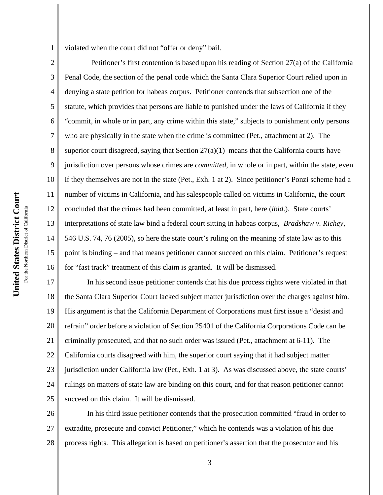1 violated when the court did not "offer or deny" bail.

2 3 4 5 6 7 8 9 10 11 12 13 14 15 16 Petitioner's first contention is based upon his reading of Section 27(a) of the California Penal Code, the section of the penal code which the Santa Clara Superior Court relied upon in denying a state petition for habeas corpus. Petitioner contends that subsection one of the statute, which provides that persons are liable to punished under the laws of California if they "commit, in whole or in part, any crime within this state," subjects to punishment only persons who are physically in the state when the crime is committed (Pet., attachment at 2). The superior court disagreed, saying that Section  $27(a)(1)$  means that the California courts have jurisdiction over persons whose crimes are *committed*, in whole or in part, within the state, even if they themselves are not in the state (Pet., Exh. 1 at 2). Since petitioner's Ponzi scheme had a number of victims in California, and his salespeople called on victims in California, the court concluded that the crimes had been committed, at least in part, here (*ibid*.). State courts' interpretations of state law bind a federal court sitting in habeas corpus, *Bradshaw v. Richey*, 546 U.S. 74, 76 (2005), so here the state court's ruling on the meaning of state law as to this point is binding – and that means petitioner cannot succeed on this claim. Petitioner's request for "fast track" treatment of this claim is granted. It will be dismissed.

17 18 19 20 21 22 23 24 25 In his second issue petitioner contends that his due process rights were violated in that the Santa Clara Superior Court lacked subject matter jurisdiction over the charges against him. His argument is that the California Department of Corporations must first issue a "desist and refrain" order before a violation of Section 25401 of the California Corporations Code can be criminally prosecuted, and that no such order was issued (Pet., attachment at 6-11). The California courts disagreed with him, the superior court saying that it had subject matter jurisdiction under California law (Pet., Exh. 1 at 3). As was discussed above, the state courts' rulings on matters of state law are binding on this court, and for that reason petitioner cannot succeed on this claim. It will be dismissed.

26 27 28 In his third issue petitioner contends that the prosecution committed "fraud in order to extradite, prosecute and convict Petitioner," which he contends was a violation of his due process rights. This allegation is based on petitioner's assertion that the prosecutor and his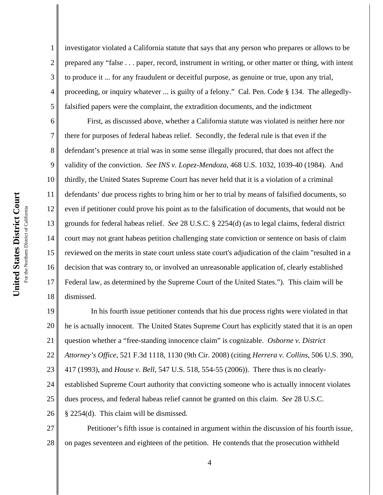1

2

3

4

5

investigator violated a California statute that says that any person who prepares or allows to be prepared any "false . . . paper, record, instrument in writing, or other matter or thing, with intent to produce it ... for any fraudulent or deceitful purpose, as genuine or true, upon any trial, proceeding, or inquiry whatever ... is guilty of a felony." Cal. Pen. Code § 134. The allegedlyfalsified papers were the complaint, the extradition documents, and the indictment

6 7 8 9 10 11 12 13 14 15 16 17 18 First, as discussed above, whether a California statute was violated is neither here nor there for purposes of federal habeas relief. Secondly, the federal rule is that even if the defendant's presence at trial was in some sense illegally procured, that does not affect the validity of the conviction. *See INS v. Lopez-Mendoza*, 468 U.S. 1032, 1039-40 (1984). And thirdly, the United States Supreme Court has never held that it is a violation of a criminal defendants' due process rights to bring him or her to trial by means of falsified documents, so even if petitioner could prove his point as to the falsification of documents, that would not be grounds for federal habeas relief. *See* 28 U.S.C. § 2254(d) (as to legal claims, federal district court may not grant habeas petition challenging state conviction or sentence on basis of claim reviewed on the merits in state court unless state court's adjudication of the claim "resulted in a decision that was contrary to, or involved an unreasonable application of, clearly established Federal law, as determined by the Supreme Court of the United States."). This claim will be dismissed.

19 20 21 22 23 24 25 26 In his fourth issue petitioner contends that his due process rights were violated in that he is actually innocent. The United States Supreme Court has explicitly stated that it is an open question whether a "free-standing innocence claim" is cognizable. *Osborne v. District Attorney's Office*, 521 F.3d 1118, 1130 (9th Cir. 2008) (citing *Herrera v. Collins*, 506 U.S. 390, 417 (1993), and *House v. Bell*, 547 U.S. 518, 554-55 (2006)). There thus is no clearlyestablished Supreme Court authority that convicting someone who is actually innocent violates dues process, and federal habeas relief cannot be granted on this claim. *See* 28 U.S.C. § 2254(d). This claim will be dismissed.

27 28 Petitioner's fifth issue is contained in argument within the discussion of his fourth issue, on pages seventeen and eighteen of the petition. He contends that the prosecution withheld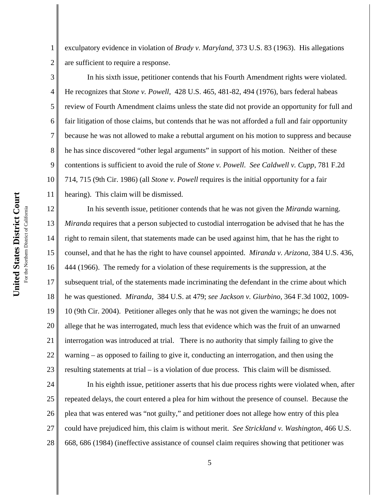1

2

5

exculpatory evidence in violation of *Brady v. Maryland*, 373 U.S. 83 (1963). His allegations are sufficient to require a response.

3 4 In his sixth issue, petitioner contends that his Fourth Amendment rights were violated. He recognizes that *Stone v. Powell*, 428 U.S. 465, 481-82, 494 (1976), bars federal habeas review of Fourth Amendment claims unless the state did not provide an opportunity for full and fair litigation of those claims, but contends that he was not afforded a full and fair opportunity because he was not allowed to make a rebuttal argument on his motion to suppress and because he has since discovered "other legal arguments" in support of his motion. Neither of these contentions is sufficient to avoid the rule of *Stone v. Powell*. *See Caldwell v. Cupp*, 781 F.2d 714, 715 (9th Cir. 1986) (all *Stone v. Powell* requires is the initial opportunity for a fair hearing). This claim will be dismissed.

14 15 16 17 18 19 20 21 22 23 In his seventh issue, petitioner contends that he was not given the *Miranda* warning. *Miranda* requires that a person subjected to custodial interrogation be advised that he has the right to remain silent, that statements made can be used against him, that he has the right to counsel, and that he has the right to have counsel appointed. *Miranda v. Arizona*, 384 U.S. 436, 444 (1966). The remedy for a violation of these requirements is the suppression, at the subsequent trial, of the statements made incriminating the defendant in the crime about which he was questioned. *Miranda*, 384 U.S. at 479; *see Jackson v. Giurbino*, 364 F.3d 1002, 1009- 10 (9th Cir. 2004). Petitioner alleges only that he was not given the warnings; he does not allege that he was interrogated, much less that evidence which was the fruit of an unwarned interrogation was introduced at trial. There is no authority that simply failing to give the warning – as opposed to failing to give it, conducting an interrogation, and then using the resulting statements at trial – is a violation of due process. This claim will be dismissed.

24 25 26 27 28 In his eighth issue, petitioner asserts that his due process rights were violated when, after repeated delays, the court entered a plea for him without the presence of counsel. Because the plea that was entered was "not guilty," and petitioner does not allege how entry of this plea could have prejudiced him, this claim is without merit. *See Strickland v. Washington*, 466 U.S. 668, 686 (1984) (ineffective assistance of counsel claim requires showing that petitioner was

5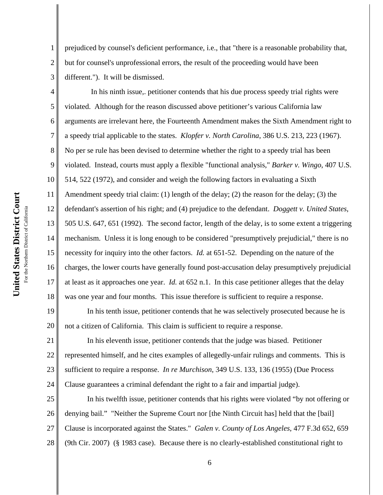1 2 3 prejudiced by counsel's deficient performance, i.e., that "there is a reasonable probability that, but for counsel's unprofessional errors, the result of the proceeding would have been different."). It will be dismissed.

4 5 6 7 8 9 10 11 12 13 14 15 16 17 18 In his ninth issue,. petitioner contends that his due process speedy trial rights were violated. Although for the reason discussed above petitioner's various California law arguments are irrelevant here, the Fourteenth Amendment makes the Sixth Amendment right to a speedy trial applicable to the states. *Klopfer v. North Carolina*, 386 U.S. 213, 223 (1967). No per se rule has been devised to determine whether the right to a speedy trial has been violated. Instead, courts must apply a flexible "functional analysis," *Barker v. Wingo*, 407 U.S. 514, 522 (1972), and consider and weigh the following factors in evaluating a Sixth Amendment speedy trial claim: (1) length of the delay; (2) the reason for the delay; (3) the defendant's assertion of his right; and (4) prejudice to the defendant. *Doggett v. United States*, 505 U.S. 647, 651 (1992). The second factor, length of the delay, is to some extent a triggering mechanism. Unless it is long enough to be considered "presumptively prejudicial," there is no necessity for inquiry into the other factors. *Id.* at 651-52. Depending on the nature of the charges, the lower courts have generally found post-accusation delay presumptively prejudicial at least as it approaches one year. *Id.* at 652 n.1. In this case petitioner alleges that the delay was one year and four months. This issue therefore is sufficient to require a response.

19 20 In his tenth issue, petitioner contends that he was selectively prosecuted because he is not a citizen of California. This claim is sufficient to require a response.

21 22 23 24 In his eleventh issue, petitioner contends that the judge was biased. Petitioner represented himself, and he cites examples of allegedly-unfair rulings and comments. This is sufficient to require a response. *In re Murchison*, 349 U.S. 133, 136 (1955) (Due Process Clause guarantees a criminal defendant the right to a fair and impartial judge).

25 26 27 28 In his twelfth issue, petitioner contends that his rights were violated "by not offering or denying bail." "Neither the Supreme Court nor [the Ninth Circuit has] held that the [bail] Clause is incorporated against the States." *Galen v. County of Los Angeles*, 477 F.3d 652, 659 (9th Cir. 2007) (§ 1983 case). Because there is no clearly-established constitutional right to